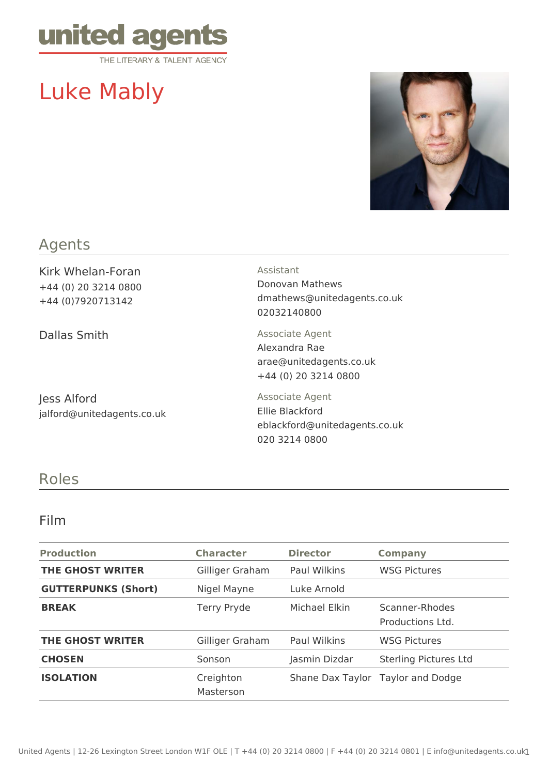

# Luke Mably



## Agents

Kirk Whelan-Foran +44 (0) 20 3214 0800 +44 (0)7920713142

Dallas Smith Associate Agent

Jess Alford jalford@unitedagents.co.uk Assistant Donovan Mathews dmathews@unitedagents.co.uk

02032140800

Alexandra Rae arae@unitedagents.co.uk +44 (0) 20 3214 0800

Associate Agent Ellie Blackford eblackford@unitedagents.co.uk 020 3214 0800

### Roles

#### Film

| <b>Production</b>          | <b>Character</b>       | <b>Director</b> | <b>Company</b>                     |
|----------------------------|------------------------|-----------------|------------------------------------|
| <b>THE GHOST WRITER</b>    | Gilliger Graham        | Paul Wilkins    | <b>WSG Pictures</b>                |
| <b>GUTTERPUNKS (Short)</b> | Nigel Mayne            | Luke Arnold     |                                    |
| <b>BREAK</b>               | Terry Pryde            | Michael Elkin   | Scanner-Rhodes<br>Productions Ltd. |
| THE GHOST WRITER           | Gilliger Graham        | Paul Wilkins    | <b>WSG Pictures</b>                |
| <b>CHOSEN</b>              | Sonson                 | Jasmin Dizdar   | <b>Sterling Pictures Ltd</b>       |
| <b>ISOLATION</b>           | Creighton<br>Masterson |                 | Shane Dax Taylor Taylor and Dodge  |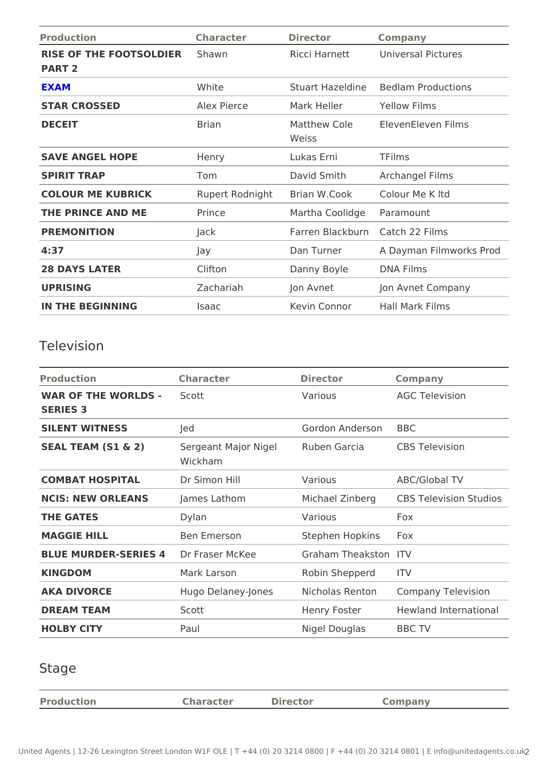| Character                   | Director    | Company                 |                                                                                                                                                                                                                                                                                                                |
|-----------------------------|-------------|-------------------------|----------------------------------------------------------------------------------------------------------------------------------------------------------------------------------------------------------------------------------------------------------------------------------------------------------------|
| RISE OF THE FOOTSOLDSIEaRwn |             |                         |                                                                                                                                                                                                                                                                                                                |
| White                       |             |                         |                                                                                                                                                                                                                                                                                                                |
| Alex Pierce                 | Mark Heller |                         |                                                                                                                                                                                                                                                                                                                |
| Brian                       | Weiss       |                         |                                                                                                                                                                                                                                                                                                                |
| Henry                       | Lukas Erni  | TFilms                  |                                                                                                                                                                                                                                                                                                                |
| Tom                         | David Smith |                         |                                                                                                                                                                                                                                                                                                                |
|                             |             |                         |                                                                                                                                                                                                                                                                                                                |
| Prince                      |             |                         |                                                                                                                                                                                                                                                                                                                |
| Jack                        |             |                         |                                                                                                                                                                                                                                                                                                                |
| Jay                         | Dan Turner  | A Dayman Filmworks Prod |                                                                                                                                                                                                                                                                                                                |
| Clifton                     |             |                         |                                                                                                                                                                                                                                                                                                                |
| Zachariah                   | Jon Avnet   | Jon Avnet Company       |                                                                                                                                                                                                                                                                                                                |
| Isaac                       |             |                         |                                                                                                                                                                                                                                                                                                                |
|                             |             |                         | Ricci Harnett Universal Pictures<br>Stuart Hazeld Breedlam Productions<br>Yellow Films<br>Matthew Cole Eleven Eleven Films<br>Archangel Films<br>Rupert RodnigBtrian W.Cook Colour Me K Itd<br>Martha Coolidgeramount<br>Farren BlackbCantch 22 Films<br>Danny Boyle DNA Films<br>Kevin Connor Hall Mark Films |

## Television

| Production                                                        | Character   | Director             | Company                                              |
|-------------------------------------------------------------------|-------------|----------------------|------------------------------------------------------|
| WAR OF THE WORLDSScott                                            |             | Various              | AGC Television                                       |
| SERIES 3                                                          |             |                      |                                                      |
| SILENT WITNESS                                                    | Jed         | Gordon AndersBBC     |                                                      |
| SEAL TEAM (S1 & 2) Sergeant Major NigPeuben Garcia CBS Television | Wickham     |                      |                                                      |
| COMBAT HOSPITAL Dr Simon Hill                                     |             | Various              | ABC/Global TV                                        |
| NCIS: NEW ORLEANSJames Lathom                                     |             |                      | Michael ZinberGBS Television Studios                 |
| THE GATES                                                         | Dylan       | Various              | Fox                                                  |
| MAGGIE HILL                                                       | Ben Emerson | Stephen Hopkinsx     |                                                      |
| BLUE MURDER-SERIESSr 4Fraser McKee                                |             | Graham Theaks tTo Vh |                                                      |
| KINGDOM                                                           | Mark Larson | Robin ShepperdTV     |                                                      |
| AKA DIVORCE                                                       |             |                      | Hugo Delaney-Jone sicholas Rento Chompany Television |
| DREAM TEAM                                                        | Scott       |                      | Henry Foster Hewland International                   |
| HOLBY CITY                                                        | Paul        | Nigel Douglas BBC TV |                                                      |
|                                                                   |             |                      |                                                      |

## Stage

| Production | Character | Director | Company |
|------------|-----------|----------|---------|
|            |           |          |         |